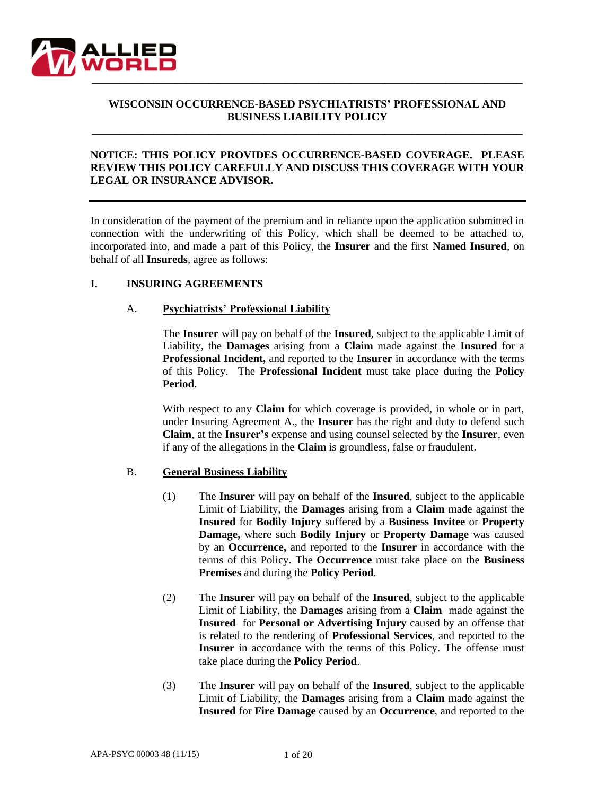

# **WISCONSIN OCCURRENCE-BASED PSYCHIATRISTS' PROFESSIONAL AND BUSINESS LIABILITY POLICY**

**\_\_\_\_\_\_\_\_\_\_\_\_\_\_\_\_\_\_\_\_\_\_\_\_\_\_\_\_\_\_\_\_\_\_\_\_\_\_\_\_\_\_\_\_\_\_\_\_\_\_\_\_\_\_\_\_\_\_\_\_\_\_\_\_\_\_\_\_\_\_\_\_\_\_\_\_\_\_**

## **NOTICE: THIS POLICY PROVIDES OCCURRENCE-BASED COVERAGE. PLEASE REVIEW THIS POLICY CAREFULLY AND DISCUSS THIS COVERAGE WITH YOUR LEGAL OR INSURANCE ADVISOR.**

In consideration of the payment of the premium and in reliance upon the application submitted in connection with the underwriting of this Policy, which shall be deemed to be attached to, incorporated into, and made a part of this Policy, the **Insurer** and the first **Named Insured**, on behalf of all **Insureds**, agree as follows:

### **I. INSURING AGREEMENTS**

# A. **Psychiatrists' Professional Liability**

The **Insurer** will pay on behalf of the **Insured**, subject to the applicable Limit of Liability, the **Damages** arising from a **Claim** made against the **Insured** for a **Professional Incident,** and reported to the **Insurer** in accordance with the terms of this Policy. The **Professional Incident** must take place during the **Policy Period**.

With respect to any **Claim** for which coverage is provided, in whole or in part, under Insuring Agreement A., the **Insurer** has the right and duty to defend such **Claim**, at the **Insurer's** expense and using counsel selected by the **Insurer**, even if any of the allegations in the **Claim** is groundless, false or fraudulent.

### B. **General Business Liability**

- (1) The **Insurer** will pay on behalf of the **Insured**, subject to the applicable Limit of Liability, the **Damages** arising from a **Claim** made against the **Insured** for **Bodily Injury** suffered by a **Business Invitee** or **Property Damage,** where such **Bodily Injury** or **Property Damage** was caused by an **Occurrence,** and reported to the **Insurer** in accordance with the terms of this Policy. The **Occurrence** must take place on the **Business Premises** and during the **Policy Period**.
- (2) The **Insurer** will pay on behalf of the **Insured**, subject to the applicable Limit of Liability, the **Damages** arising from a **Claim** made against the **Insured** for **Personal or Advertising Injury** caused by an offense that is related to the rendering of **Professional Services**, and reported to the **Insurer** in accordance with the terms of this Policy. The offense must take place during the **Policy Period**.
- (3) The **Insurer** will pay on behalf of the **Insured**, subject to the applicable Limit of Liability, the **Damages** arising from a **Claim** made against the **Insured** for **Fire Damage** caused by an **Occurrence**, and reported to the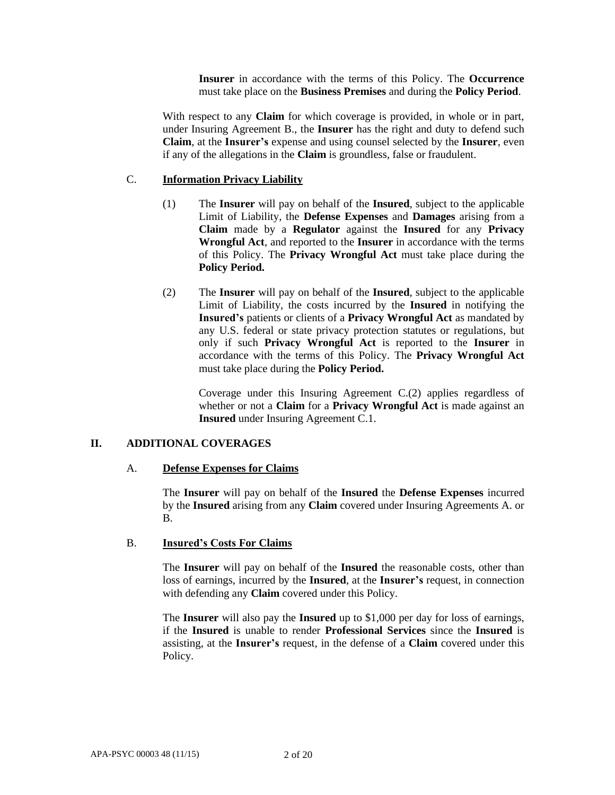**Insurer** in accordance with the terms of this Policy. The **Occurrence** must take place on the **Business Premises** and during the **Policy Period**.

With respect to any **Claim** for which coverage is provided, in whole or in part, under Insuring Agreement B., the **Insurer** has the right and duty to defend such **Claim**, at the **Insurer's** expense and using counsel selected by the **Insurer**, even if any of the allegations in the **Claim** is groundless, false or fraudulent.

#### C. **Information Privacy Liability**

- (1) The **Insurer** will pay on behalf of the **Insured**, subject to the applicable Limit of Liability, the **Defense Expenses** and **Damages** arising from a **Claim** made by a **Regulator** against the **Insured** for any **Privacy Wrongful Act**, and reported to the **Insurer** in accordance with the terms of this Policy. The **Privacy Wrongful Act** must take place during the **Policy Period.**
- (2) The **Insurer** will pay on behalf of the **Insured**, subject to the applicable Limit of Liability, the costs incurred by the **Insured** in notifying the **Insured's** patients or clients of a **Privacy Wrongful Act** as mandated by any U.S. federal or state privacy protection statutes or regulations, but only if such **Privacy Wrongful Act** is reported to the **Insurer** in accordance with the terms of this Policy. The **Privacy Wrongful Act**  must take place during the **Policy Period.**

Coverage under this Insuring Agreement C.(2) applies regardless of whether or not a **Claim** for a **Privacy Wrongful Act** is made against an **Insured** under Insuring Agreement C.1.

# **II. ADDITIONAL COVERAGES**

#### A. **Defense Expenses for Claims**

The **Insurer** will pay on behalf of the **Insured** the **Defense Expenses** incurred by the **Insured** arising from any **Claim** covered under Insuring Agreements A. or B.

#### B. **Insured's Costs For Claims**

The **Insurer** will pay on behalf of the **Insured** the reasonable costs, other than loss of earnings, incurred by the **Insured**, at the **Insurer's** request, in connection with defending any **Claim** covered under this Policy.

The **Insurer** will also pay the **Insured** up to \$1,000 per day for loss of earnings, if the **Insured** is unable to render **Professional Services** since the **Insured** is assisting, at the **Insurer's** request, in the defense of a **Claim** covered under this Policy.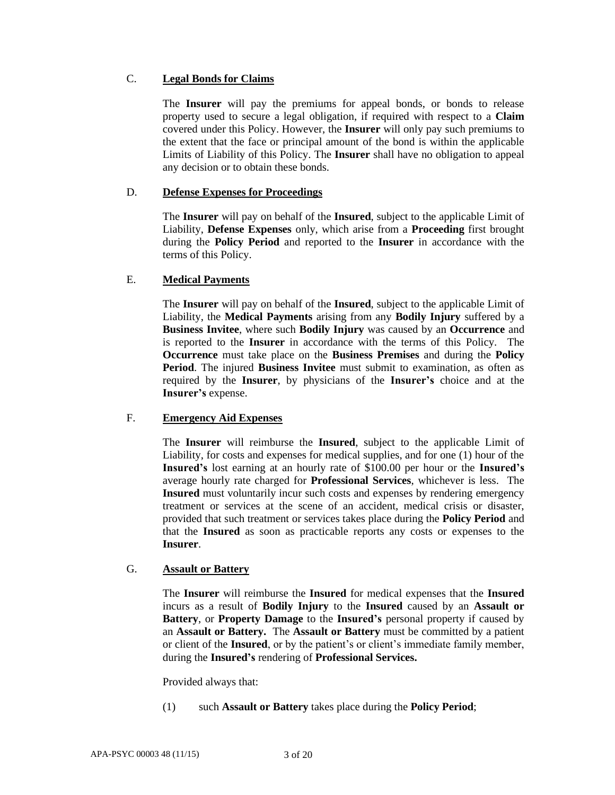## C. **Legal Bonds for Claims**

The **Insurer** will pay the premiums for appeal bonds, or bonds to release property used to secure a legal obligation, if required with respect to a **Claim** covered under this Policy. However, the **Insurer** will only pay such premiums to the extent that the face or principal amount of the bond is within the applicable Limits of Liability of this Policy. The **Insurer** shall have no obligation to appeal any decision or to obtain these bonds.

## D. **Defense Expenses for Proceedings**

The **Insurer** will pay on behalf of the **Insured**, subject to the applicable Limit of Liability, **Defense Expenses** only, which arise from a **Proceeding** first brought during the **Policy Period** and reported to the **Insurer** in accordance with the terms of this Policy.

# E. **Medical Payments**

The **Insurer** will pay on behalf of the **Insured**, subject to the applicable Limit of Liability, the **Medical Payments** arising from any **Bodily Injury** suffered by a **Business Invitee**, where such **Bodily Injury** was caused by an **Occurrence** and is reported to the **Insurer** in accordance with the terms of this Policy. The **Occurrence** must take place on the **Business Premises** and during the **Policy Period**. The injured **Business Invitee** must submit to examination, as often as required by the **Insurer**, by physicians of the **Insurer's** choice and at the **Insurer's** expense.

### F. **Emergency Aid Expenses**

The **Insurer** will reimburse the **Insured**, subject to the applicable Limit of Liability, for costs and expenses for medical supplies, and for one (1) hour of the **Insured's** lost earning at an hourly rate of \$100.00 per hour or the **Insured's**  average hourly rate charged for **Professional Services**, whichever is less. The **Insured** must voluntarily incur such costs and expenses by rendering emergency treatment or services at the scene of an accident, medical crisis or disaster, provided that such treatment or services takes place during the **Policy Period** and that the **Insured** as soon as practicable reports any costs or expenses to the **Insurer**.

# G. **Assault or Battery**

The **Insurer** will reimburse the **Insured** for medical expenses that the **Insured** incurs as a result of **Bodily Injury** to the **Insured** caused by an **Assault or Battery**, or **Property Damage** to the **Insured's** personal property if caused by an **Assault or Battery.** The **Assault or Battery** must be committed by a patient or client of the **Insured**, or by the patient's or client's immediate family member, during the **Insured's** rendering of **Professional Services.**

Provided always that:

(1) such **Assault or Battery** takes place during the **Policy Period**;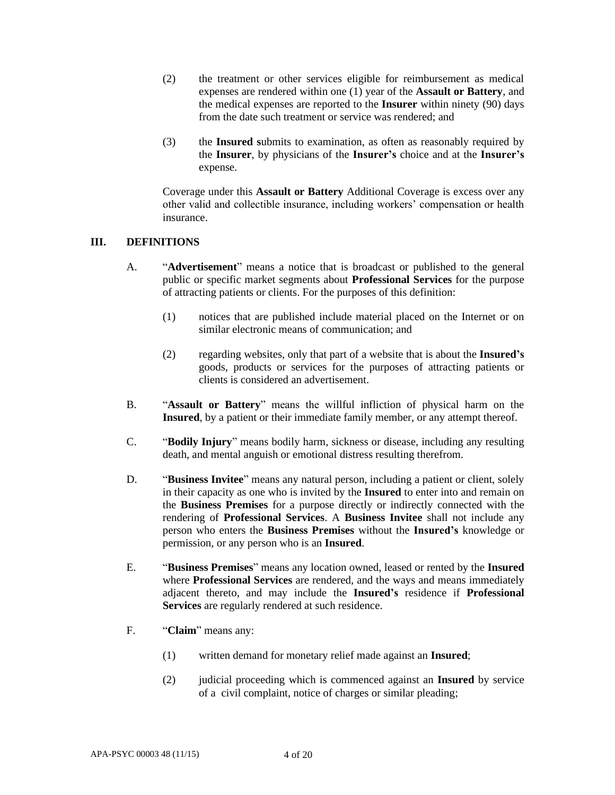- (2) the treatment or other services eligible for reimbursement as medical expenses are rendered within one (1) year of the **Assault or Battery**, and the medical expenses are reported to the **Insurer** within ninety (90) days from the date such treatment or service was rendered; and
- (3) the **Insured s**ubmits to examination, as often as reasonably required by the **Insurer**, by physicians of the **Insurer's** choice and at the **Insurer's** expense.

Coverage under this **Assault or Battery** Additional Coverage is excess over any other valid and collectible insurance, including workers' compensation or health insurance.

### **III. DEFINITIONS**

- A. "**Advertisement**" means a notice that is broadcast or published to the general public or specific market segments about **Professional Services** for the purpose of attracting patients or clients. For the purposes of this definition:
	- (1) notices that are published include material placed on the Internet or on similar electronic means of communication; and
	- (2) regarding websites, only that part of a website that is about the **Insured's** goods, products or services for the purposes of attracting patients or clients is considered an advertisement.
- B. "**Assault or Battery**" means the willful infliction of physical harm on the **Insured**, by a patient or their immediate family member, or any attempt thereof.
- C. "**Bodily Injury**" means bodily harm, sickness or disease, including any resulting death, and mental anguish or emotional distress resulting therefrom.
- D. "**Business Invitee**" means any natural person, including a patient or client, solely in their capacity as one who is invited by the **Insured** to enter into and remain on the **Business Premises** for a purpose directly or indirectly connected with the rendering of **Professional Services**. A **Business Invitee** shall not include any person who enters the **Business Premises** without the **Insured's** knowledge or permission, or any person who is an **Insured**.
- E. "**Business Premises**" means any location owned, leased or rented by the **Insured**  where **Professional Services** are rendered, and the ways and means immediately adjacent thereto, and may include the **Insured's** residence if **Professional Services** are regularly rendered at such residence.
- F. "**Claim**" means any:
	- (1) written demand for monetary relief made against an **Insured**;
	- (2) judicial proceeding which is commenced against an **Insured** by service of a civil complaint, notice of charges or similar pleading;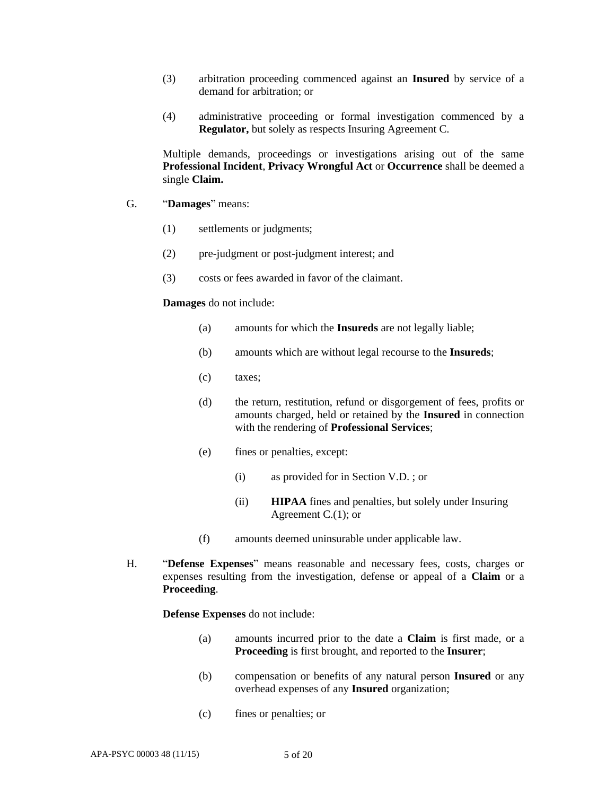- (3) arbitration proceeding commenced against an **Insured** by service of a demand for arbitration; or
- (4) administrative proceeding or formal investigation commenced by a **Regulator,** but solely as respects Insuring Agreement C.

Multiple demands, proceedings or investigations arising out of the same **Professional Incident**, **Privacy Wrongful Act** or **Occurrence** shall be deemed a single **Claim.**

- G. "**Damages**" means:
	- (1) settlements or judgments;
	- (2) pre-judgment or post-judgment interest; and
	- (3) costs or fees awarded in favor of the claimant.

#### **Damages** do not include:

- (a) amounts for which the **Insureds** are not legally liable;
- (b) amounts which are without legal recourse to the **Insureds**;
- (c) taxes;
- (d) the return, restitution, refund or disgorgement of fees, profits or amounts charged, held or retained by the **Insured** in connection with the rendering of **Professional Services**;
- (e) fines or penalties, except:
	- (i) as provided for in Section V.D. ; or
	- (ii) **HIPAA** fines and penalties, but solely under Insuring Agreement C.(1); or
- (f) amounts deemed uninsurable under applicable law.
- H. "**Defense Expenses**" means reasonable and necessary fees, costs, charges or expenses resulting from the investigation, defense or appeal of a **Claim** or a **Proceeding**.

**Defense Expenses** do not include:

- (a) amounts incurred prior to the date a **Claim** is first made, or a **Proceeding** is first brought, and reported to the **Insurer**;
- (b) compensation or benefits of any natural person **Insured** or any overhead expenses of any **Insured** organization;
- (c) fines or penalties; or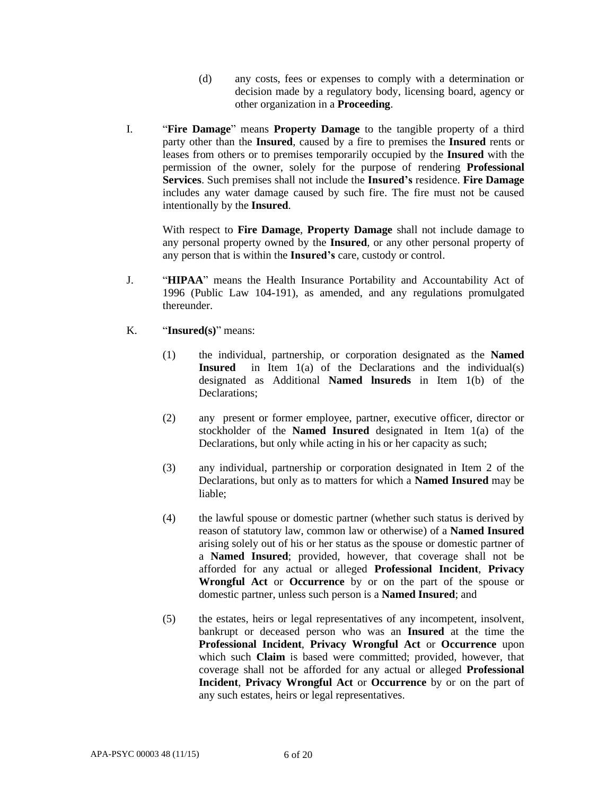- (d) any costs, fees or expenses to comply with a determination or decision made by a regulatory body, licensing board, agency or other organization in a **Proceeding**.
- I. "**Fire Damage**" means **Property Damage** to the tangible property of a third party other than the **Insured**, caused by a fire to premises the **Insured** rents or leases from others or to premises temporarily occupied by the **Insured** with the permission of the owner, solely for the purpose of rendering **Professional Services**. Such premises shall not include the **Insured's** residence. **Fire Damage** includes any water damage caused by such fire. The fire must not be caused intentionally by the **Insured**.

With respect to **Fire Damage**, **Property Damage** shall not include damage to any personal property owned by the **Insured**, or any other personal property of any person that is within the **Insured's** care, custody or control.

- J. "**HIPAA**" means the Health Insurance Portability and Accountability Act of 1996 (Public Law 104-191), as amended, and any regulations promulgated thereunder.
- K. "**Insured(s)**" means:
	- (1) the individual, partnership, or corporation designated as the **Named Insured** in Item 1(a) of the Declarations and the individual(s) designated as Additional **Named lnsureds** in Item 1(b) of the Declarations;
	- (2) any present or former employee, partner, executive officer, director or stockholder of the **Named Insured** designated in Item 1(a) of the Declarations, but only while acting in his or her capacity as such;
	- (3) any individual, partnership or corporation designated in Item 2 of the Declarations, but only as to matters for which a **Named Insured** may be liable;
	- (4) the lawful spouse or domestic partner (whether such status is derived by reason of statutory law, common law or otherwise) of a **Named Insured**  arising solely out of his or her status as the spouse or domestic partner of a **Named Insured**; provided, however, that coverage shall not be afforded for any actual or alleged **Professional Incident**, **Privacy Wrongful Act** or **Occurrence** by or on the part of the spouse or domestic partner, unless such person is a **Named Insured**; and
	- (5) the estates, heirs or legal representatives of any incompetent, insolvent, bankrupt or deceased person who was an **Insured** at the time the **Professional Incident**, **Privacy Wrongful Act** or **Occurrence** upon which such **Claim** is based were committed; provided, however, that coverage shall not be afforded for any actual or alleged **Professional Incident**, **Privacy Wrongful Act** or **Occurrence** by or on the part of any such estates, heirs or legal representatives.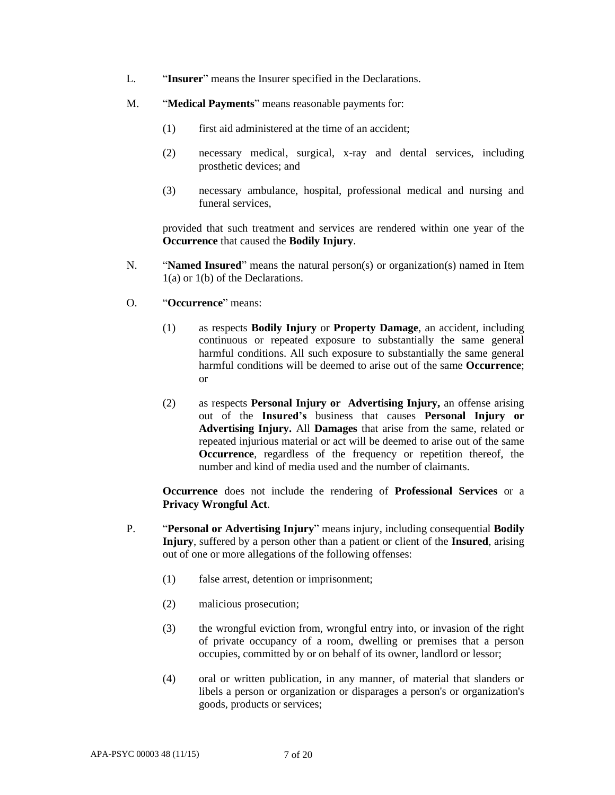- L. "**Insurer**" means the Insurer specified in the Declarations.
- M. "**Medical Payments**" means reasonable payments for:
	- (1) first aid administered at the time of an accident;
	- (2) necessary medical, surgical, x-ray and dental services, including prosthetic devices; and
	- (3) necessary ambulance, hospital, professional medical and nursing and funeral services,

provided that such treatment and services are rendered within one year of the **Occurrence** that caused the **Bodily Injury**.

- N. "**Named Insured**" means the natural person(s) or organization(s) named in Item 1(a) or 1(b) of the Declarations.
- O. "**Occurrence**" means:
	- (1) as respects **Bodily Injury** or **Property Damage**, an accident, including continuous or repeated exposure to substantially the same general harmful conditions. All such exposure to substantially the same general harmful conditions will be deemed to arise out of the same **Occurrence**; or
	- (2) as respects **Personal Injury or Advertising Injury,** an offense arising out of the **Insured's** business that causes **Personal Injury or Advertising Injury.** All **Damages** that arise from the same, related or repeated injurious material or act will be deemed to arise out of the same **Occurrence**, regardless of the frequency or repetition thereof, the number and kind of media used and the number of claimants.

**Occurrence** does not include the rendering of **Professional Services** or a **Privacy Wrongful Act**.

- P. "**Personal or Advertising Injury**" means injury, including consequential **Bodily Injury**, suffered by a person other than a patient or client of the **Insured**, arising out of one or more allegations of the following offenses:
	- (1) false arrest, detention or imprisonment;
	- (2) malicious prosecution;
	- (3) the wrongful eviction from, wrongful entry into, or invasion of the right of private occupancy of a room, dwelling or premises that a person occupies, committed by or on behalf of its owner, landlord or lessor;
	- (4) oral or written publication, in any manner, of material that slanders or libels a person or organization or disparages a person's or organization's goods, products or services;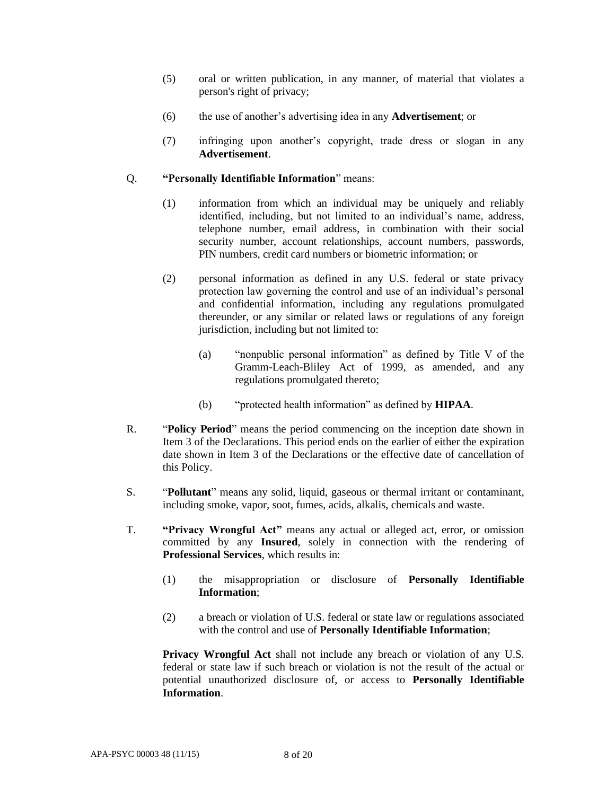- (5) oral or written publication, in any manner, of material that violates a person's right of privacy;
- (6) the use of another's advertising idea in any **Advertisement**; or
- (7) infringing upon another's copyright, trade dress or slogan in any **Advertisement**.

## Q. **"Personally Identifiable Information**" means:

- (1) information from which an individual may be uniquely and reliably identified, including, but not limited to an individual's name, address, telephone number, email address, in combination with their social security number, account relationships, account numbers, passwords, PIN numbers, credit card numbers or biometric information; or
- (2) personal information as defined in any U.S. federal or state privacy protection law governing the control and use of an individual's personal and confidential information, including any regulations promulgated thereunder, or any similar or related laws or regulations of any foreign jurisdiction, including but not limited to:
	- (a) "nonpublic personal information" as defined by Title V of the Gramm-Leach-Bliley Act of 1999, as amended, and any regulations promulgated thereto;
	- (b) "protected health information" as defined by **HIPAA**.
- R. "**Policy Period**" means the period commencing on the inception date shown in Item 3 of the Declarations. This period ends on the earlier of either the expiration date shown in Item 3 of the Declarations or the effective date of cancellation of this Policy.
- S. "**Pollutant**" means any solid, liquid, gaseous or thermal irritant or contaminant, including smoke, vapor, soot, fumes, acids, alkalis, chemicals and waste.
- T. **"Privacy Wrongful Act"** means any actual or alleged act, error, or omission committed by any **Insured**, solely in connection with the rendering of **Professional Services**, which results in:
	- (1) the misappropriation or disclosure of **Personally Identifiable Information**;
	- (2) a breach or violation of U.S. federal or state law or regulations associated with the control and use of **Personally Identifiable Information**;

**Privacy Wrongful Act** shall not include any breach or violation of any U.S. federal or state law if such breach or violation is not the result of the actual or potential unauthorized disclosure of, or access to **Personally Identifiable Information**.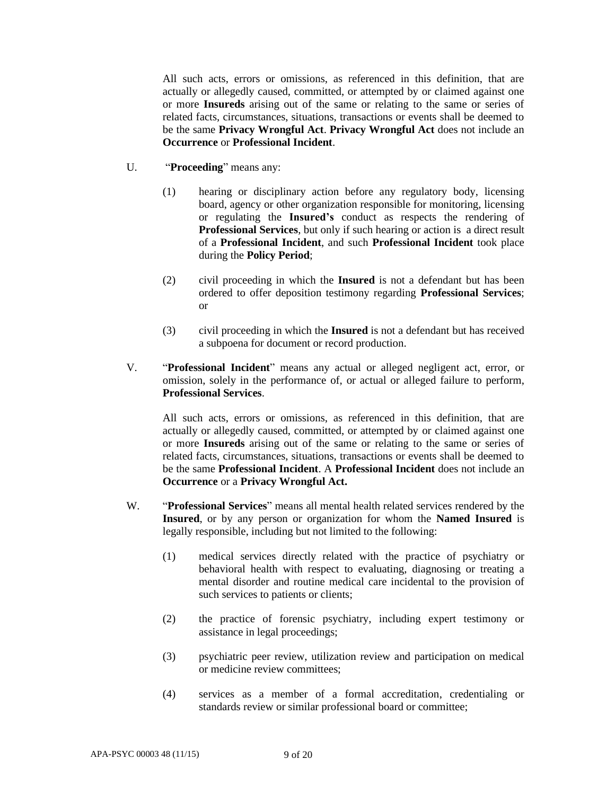All such acts, errors or omissions, as referenced in this definition, that are actually or allegedly caused, committed, or attempted by or claimed against one or more **Insureds** arising out of the same or relating to the same or series of related facts, circumstances, situations, transactions or events shall be deemed to be the same **Privacy Wrongful Act**. **Privacy Wrongful Act** does not include an **Occurrence** or **Professional Incident**.

- U. "**Proceeding**" means any:
	- (1) hearing or disciplinary action before any regulatory body, licensing board, agency or other organization responsible for monitoring, licensing or regulating the **Insured's** conduct as respects the rendering of **Professional Services**, but only if such hearing or action is a direct result of a **Professional Incident**, and such **Professional Incident** took place during the **Policy Period**;
	- (2) civil proceeding in which the **Insured** is not a defendant but has been ordered to offer deposition testimony regarding **Professional Services**; or
	- (3) civil proceeding in which the **Insured** is not a defendant but has received a subpoena for document or record production.
- V. "**Professional Incident**" means any actual or alleged negligent act, error, or omission, solely in the performance of, or actual or alleged failure to perform, **Professional Services**.

All such acts, errors or omissions, as referenced in this definition, that are actually or allegedly caused, committed, or attempted by or claimed against one or more **Insureds** arising out of the same or relating to the same or series of related facts, circumstances, situations, transactions or events shall be deemed to be the same **Professional Incident**. A **Professional Incident** does not include an **Occurrence** or a **Privacy Wrongful Act.**

- W. "**Professional Services**" means all mental health related services rendered by the **Insured**, or by any person or organization for whom the **Named Insured** is legally responsible, including but not limited to the following:
	- (1) medical services directly related with the practice of psychiatry or behavioral health with respect to evaluating, diagnosing or treating a mental disorder and routine medical care incidental to the provision of such services to patients or clients;
	- (2) the practice of forensic psychiatry, including expert testimony or assistance in legal proceedings;
	- (3) psychiatric peer review, utilization review and participation on medical or medicine review committees;
	- (4) services as a member of a formal accreditation, credentialing or standards review or similar professional board or committee;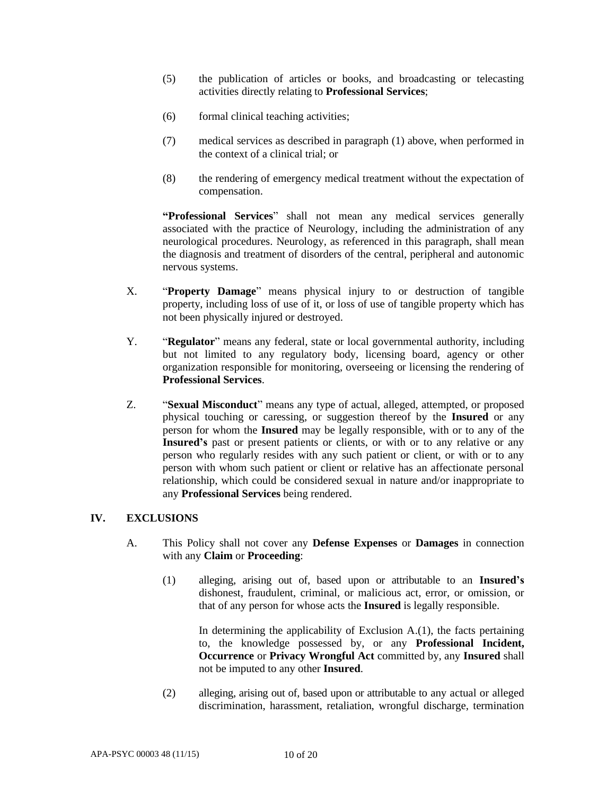- (5) the publication of articles or books, and broadcasting or telecasting activities directly relating to **Professional Services**;
- (6) formal clinical teaching activities;
- (7) medical services as described in paragraph (1) above, when performed in the context of a clinical trial; or
- (8) the rendering of emergency medical treatment without the expectation of compensation.

**"Professional Services**" shall not mean any medical services generally associated with the practice of Neurology, including the administration of any neurological procedures. Neurology, as referenced in this paragraph, shall mean the diagnosis and treatment of disorders of the central, peripheral and autonomic nervous systems.

- X. "**Property Damage**" means physical injury to or destruction of tangible property, including loss of use of it, or loss of use of tangible property which has not been physically injured or destroyed.
- Y. "**Regulator**" means any federal, state or local governmental authority, including but not limited to any regulatory body, licensing board, agency or other organization responsible for monitoring, overseeing or licensing the rendering of **Professional Services**.
- Z. "**Sexual Misconduct**" means any type of actual, alleged, attempted, or proposed physical touching or caressing, or suggestion thereof by the **Insured** or any person for whom the **Insured** may be legally responsible, with or to any of the **Insured's** past or present patients or clients, or with or to any relative or any person who regularly resides with any such patient or client, or with or to any person with whom such patient or client or relative has an affectionate personal relationship, which could be considered sexual in nature and/or inappropriate to any **Professional Services** being rendered.

### **IV. EXCLUSIONS**

- A. This Policy shall not cover any **Defense Expenses** or **Damages** in connection with any **Claim** or **Proceeding**:
	- (1) alleging, arising out of, based upon or attributable to an **Insured's** dishonest, fraudulent, criminal, or malicious act, error, or omission, or that of any person for whose acts the **Insured** is legally responsible.

In determining the applicability of Exclusion  $A(1)$ , the facts pertaining to, the knowledge possessed by, or any **Professional Incident, Occurrence** or **Privacy Wrongful Act** committed by, any **Insured** shall not be imputed to any other **Insured**.

(2) alleging, arising out of, based upon or attributable to any actual or alleged discrimination, harassment, retaliation, wrongful discharge, termination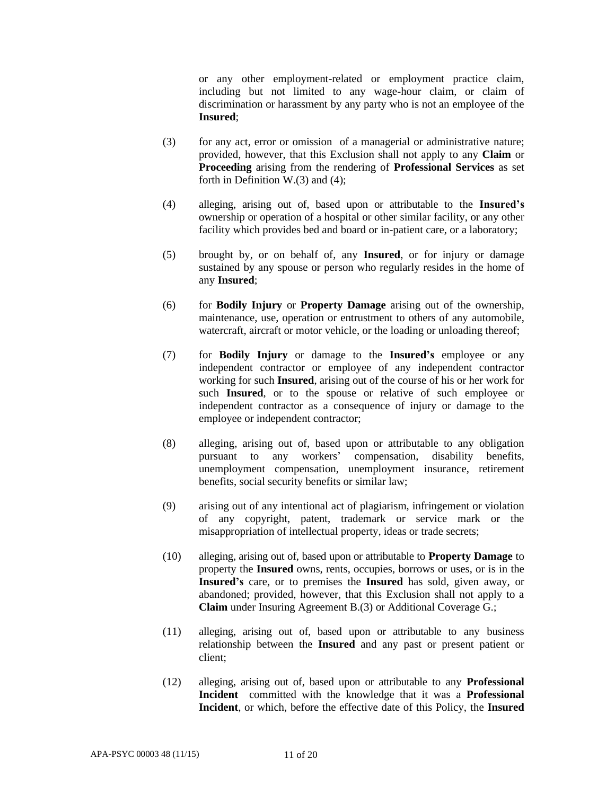or any other employment-related or employment practice claim, including but not limited to any wage-hour claim, or claim of discrimination or harassment by any party who is not an employee of the **Insured**;

- (3) for any act, error or omission of a managerial or administrative nature; provided, however, that this Exclusion shall not apply to any **Claim** or **Proceeding** arising from the rendering of **Professional Services** as set forth in Definition W.(3) and (4);
- (4) alleging, arising out of, based upon or attributable to the **Insured's** ownership or operation of a hospital or other similar facility, or any other facility which provides bed and board or in-patient care, or a laboratory;
- (5) brought by, or on behalf of, any **Insured**, or for injury or damage sustained by any spouse or person who regularly resides in the home of any **Insured**;
- (6) for **Bodily Injury** or **Property Damage** arising out of the ownership, maintenance, use, operation or entrustment to others of any automobile, watercraft, aircraft or motor vehicle, or the loading or unloading thereof;
- (7) for **Bodily Injury** or damage to the **Insured's** employee or any independent contractor or employee of any independent contractor working for such **Insured**, arising out of the course of his or her work for such **Insured**, or to the spouse or relative of such employee or independent contractor as a consequence of injury or damage to the employee or independent contractor;
- (8) alleging, arising out of, based upon or attributable to any obligation pursuant to any workers' compensation, disability benefits, unemployment compensation, unemployment insurance, retirement benefits, social security benefits or similar law;
- (9) arising out of any intentional act of plagiarism, infringement or violation of any copyright, patent, trademark or service mark or the misappropriation of intellectual property, ideas or trade secrets;
- (10) alleging, arising out of, based upon or attributable to **Property Damage** to property the **Insured** owns, rents, occupies, borrows or uses, or is in the **Insured's** care, or to premises the **Insured** has sold, given away, or abandoned; provided, however, that this Exclusion shall not apply to a **Claim** under Insuring Agreement B.(3) or Additional Coverage G.;
- (11) alleging, arising out of, based upon or attributable to any business relationship between the **Insured** and any past or present patient or client;
- (12) alleging, arising out of, based upon or attributable to any **Professional Incident** committed with the knowledge that it was a **Professional Incident**, or which, before the effective date of this Policy, the **Insured**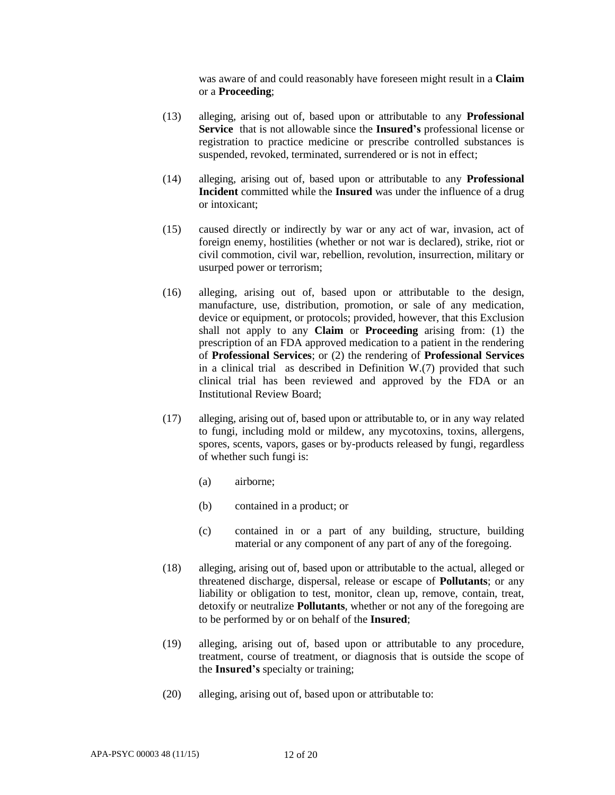was aware of and could reasonably have foreseen might result in a **Claim** or a **Proceeding**;

- (13) alleging, arising out of, based upon or attributable to any **Professional Service** that is not allowable since the **Insured's** professional license or registration to practice medicine or prescribe controlled substances is suspended, revoked, terminated, surrendered or is not in effect;
- (14) alleging, arising out of, based upon or attributable to any **Professional Incident** committed while the **Insured** was under the influence of a drug or intoxicant;
- (15) caused directly or indirectly by war or any act of war, invasion, act of foreign enemy, hostilities (whether or not war is declared), strike, riot or civil commotion, civil war, rebellion, revolution, insurrection, military or usurped power or terrorism;
- (16) alleging, arising out of, based upon or attributable to the design, manufacture, use, distribution, promotion, or sale of any medication, device or equipment, or protocols; provided, however, that this Exclusion shall not apply to any **Claim** or **Proceeding** arising from: (1) the prescription of an FDA approved medication to a patient in the rendering of **Professional Services**; or (2) the rendering of **Professional Services** in a clinical trial as described in Definition W.(7) provided that such clinical trial has been reviewed and approved by the FDA or an Institutional Review Board;
- (17) alleging, arising out of, based upon or attributable to, or in any way related to fungi, including mold or mildew, any mycotoxins, toxins, allergens, spores, scents, vapors, gases or by-products released by fungi, regardless of whether such fungi is:
	- (a) airborne;
	- (b) contained in a product; or
	- (c) contained in or a part of any building, structure, building material or any component of any part of any of the foregoing.
- (18) alleging, arising out of, based upon or attributable to the actual, alleged or threatened discharge, dispersal, release or escape of **Pollutants**; or any liability or obligation to test, monitor, clean up, remove, contain, treat, detoxify or neutralize **Pollutants**, whether or not any of the foregoing are to be performed by or on behalf of the **Insured**;
- (19) alleging, arising out of, based upon or attributable to any procedure, treatment, course of treatment, or diagnosis that is outside the scope of the **Insured's** specialty or training;
- (20) alleging, arising out of, based upon or attributable to: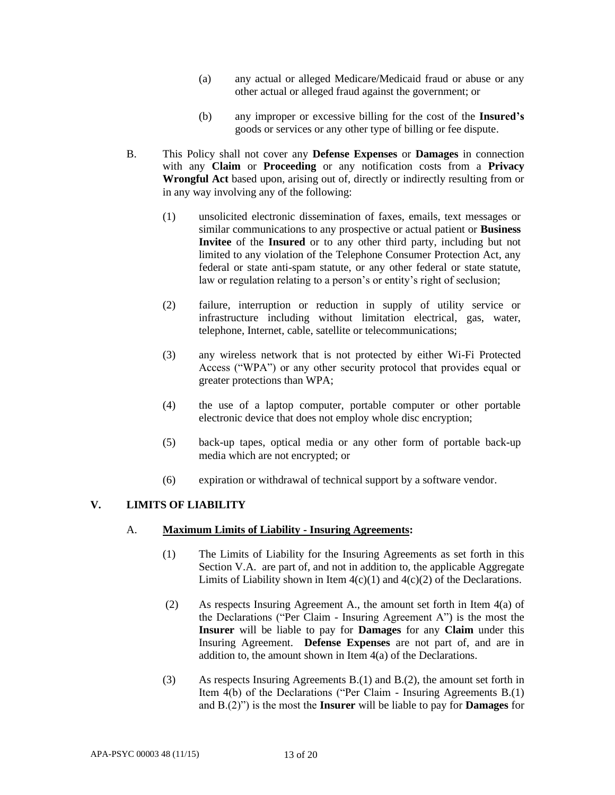- (a) any actual or alleged Medicare/Medicaid fraud or abuse or any other actual or alleged fraud against the government; or
- (b) any improper or excessive billing for the cost of the **Insured's** goods or services or any other type of billing or fee dispute.
- B. This Policy shall not cover any **Defense Expenses** or **Damages** in connection with any **Claim** or **Proceeding** or any notification costs from a **Privacy Wrongful Act** based upon, arising out of, directly or indirectly resulting from or in any way involving any of the following:
	- (1) unsolicited electronic dissemination of faxes, emails, text messages or similar communications to any prospective or actual patient or **Business Invitee** of the **Insured** or to any other third party, including but not limited to any violation of the Telephone Consumer Protection Act, any federal or state anti-spam statute, or any other federal or state statute, law or regulation relating to a person's or entity's right of seclusion;
	- (2) failure, interruption or reduction in supply of utility service or infrastructure including without limitation electrical, gas, water, telephone, Internet, cable, satellite or telecommunications;
	- (3) any wireless network that is not protected by either Wi-Fi Protected Access ("WPA") or any other security protocol that provides equal or greater protections than WPA;
	- (4) the use of a laptop computer, portable computer or other portable electronic device that does not employ whole disc encryption;
	- (5) back-up tapes, optical media or any other form of portable back-up media which are not encrypted; or
	- (6) expiration or withdrawal of technical support by a software vendor.

### **V. LIMITS OF LIABILITY**

### A. **Maximum Limits of Liability - Insuring Agreements:**

- (1) The Limits of Liability for the Insuring Agreements as set forth in this Section V.A. are part of, and not in addition to, the applicable Aggregate Limits of Liability shown in Item  $4(c)(1)$  and  $4(c)(2)$  of the Declarations.
- (2) As respects Insuring Agreement A., the amount set forth in Item 4(a) of the Declarations ("Per Claim - Insuring Agreement A") is the most the **Insurer** will be liable to pay for **Damages** for any **Claim** under this Insuring Agreement. **Defense Expenses** are not part of, and are in addition to, the amount shown in Item 4(a) of the Declarations.
- (3) As respects Insuring Agreements B.(1) and B.(2), the amount set forth in Item 4(b) of the Declarations ("Per Claim - Insuring Agreements B.(1) and B.(2)") is the most the **Insurer** will be liable to pay for **Damages** for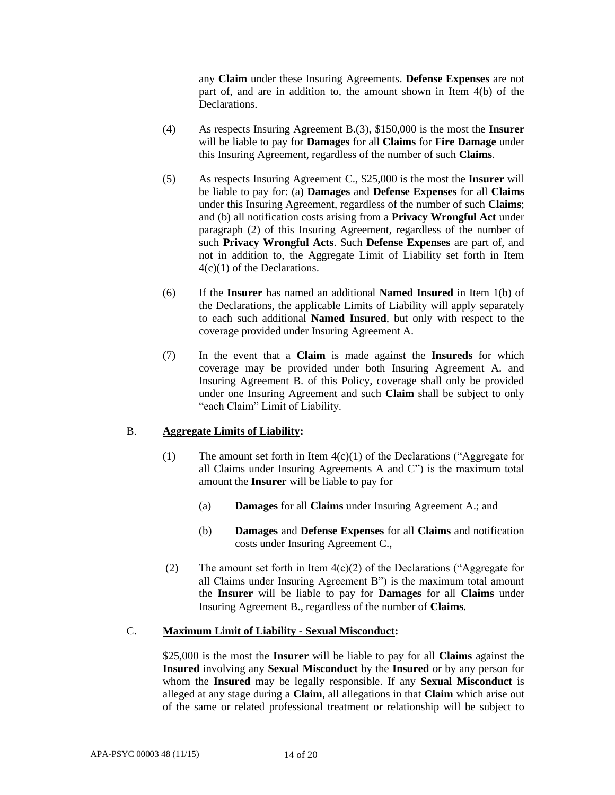any **Claim** under these Insuring Agreements. **Defense Expenses** are not part of, and are in addition to, the amount shown in Item 4(b) of the Declarations.

- (4) As respects Insuring Agreement B.(3), \$150,000 is the most the **Insurer**  will be liable to pay for **Damages** for all **Claims** for **Fire Damage** under this Insuring Agreement, regardless of the number of such **Claims**.
- (5) As respects Insuring Agreement C., \$25,000 is the most the **Insurer** will be liable to pay for: (a) **Damages** and **Defense Expenses** for all **Claims**  under this Insuring Agreement, regardless of the number of such **Claims**; and (b) all notification costs arising from a **Privacy Wrongful Act** under paragraph (2) of this Insuring Agreement, regardless of the number of such **Privacy Wrongful Acts**. Such **Defense Expenses** are part of, and not in addition to, the Aggregate Limit of Liability set forth in Item 4(c)(1) of the Declarations.
- (6) If the **Insurer** has named an additional **Named Insured** in Item 1(b) of the Declarations, the applicable Limits of Liability will apply separately to each such additional **Named Insured**, but only with respect to the coverage provided under Insuring Agreement A.
- (7) In the event that a **Claim** is made against the **Insureds** for which coverage may be provided under both Insuring Agreement A. and Insuring Agreement B. of this Policy, coverage shall only be provided under one Insuring Agreement and such **Claim** shall be subject to only "each Claim" Limit of Liability.

### B. **Aggregate Limits of Liability:**

- (1) The amount set forth in Item  $4(c)(1)$  of the Declarations ("Aggregate for all Claims under Insuring Agreements A and C") is the maximum total amount the **Insurer** will be liable to pay for
	- (a) **Damages** for all **Claims** under Insuring Agreement A.; and
	- (b) **Damages** and **Defense Expenses** for all **Claims** and notification costs under Insuring Agreement C.,
- (2) The amount set forth in Item  $4(c)(2)$  of the Declarations ("Aggregate for all Claims under Insuring Agreement B") is the maximum total amount the **Insurer** will be liable to pay for **Damages** for all **Claims** under Insuring Agreement B., regardless of the number of **Claims**.

#### C. **Maximum Limit of Liability - Sexual Misconduct:**

\$25,000 is the most the **Insurer** will be liable to pay for all **Claims** against the **Insured** involving any **Sexual Misconduct** by the **Insured** or by any person for whom the **Insured** may be legally responsible. If any **Sexual Misconduct** is alleged at any stage during a **Claim**, all allegations in that **Claim** which arise out of the same or related professional treatment or relationship will be subject to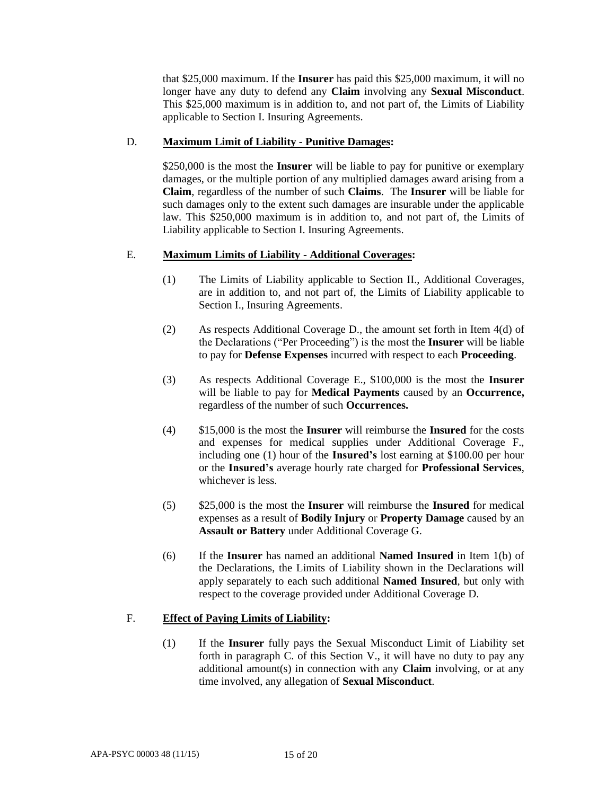that \$25,000 maximum. If the **Insurer** has paid this \$25,000 maximum, it will no longer have any duty to defend any **Claim** involving any **Sexual Misconduct**. This \$25,000 maximum is in addition to, and not part of, the Limits of Liability applicable to Section I. Insuring Agreements.

### D. **Maximum Limit of Liability - Punitive Damages:**

\$250,000 is the most the **Insurer** will be liable to pay for punitive or exemplary damages, or the multiple portion of any multiplied damages award arising from a **Claim**, regardless of the number of such **Claims**. The **Insurer** will be liable for such damages only to the extent such damages are insurable under the applicable law. This \$250,000 maximum is in addition to, and not part of, the Limits of Liability applicable to Section I. Insuring Agreements.

# E. **Maximum Limits of Liability - Additional Coverages:**

- (1) The Limits of Liability applicable to Section II., Additional Coverages, are in addition to, and not part of, the Limits of Liability applicable to Section I., Insuring Agreements.
- (2) As respects Additional Coverage D., the amount set forth in Item 4(d) of the Declarations ("Per Proceeding") is the most the **Insurer** will be liable to pay for **Defense Expenses** incurred with respect to each **Proceeding**.
- (3) As respects Additional Coverage E., \$100,000 is the most the **Insurer**  will be liable to pay for **Medical Payments** caused by an **Occurrence,**  regardless of the number of such **Occurrences.**
- (4) \$15,000 is the most the **Insurer** will reimburse the **Insured** for the costs and expenses for medical supplies under Additional Coverage F., including one (1) hour of the **Insured's** lost earning at \$100.00 per hour or the **Insured's** average hourly rate charged for **Professional Services**, whichever is less.
- (5) \$25,000 is the most the **Insurer** will reimburse the **Insured** for medical expenses as a result of **Bodily Injury** or **Property Damage** caused by an **Assault or Battery** under Additional Coverage G.
- (6) If the **Insurer** has named an additional **Named Insured** in Item 1(b) of the Declarations, the Limits of Liability shown in the Declarations will apply separately to each such additional **Named Insured**, but only with respect to the coverage provided under Additional Coverage D.

# F. **Effect of Paying Limits of Liability:**

(1) If the **Insurer** fully pays the Sexual Misconduct Limit of Liability set forth in paragraph C. of this Section V., it will have no duty to pay any additional amount(s) in connection with any **Claim** involving, or at any time involved, any allegation of **Sexual Misconduct**.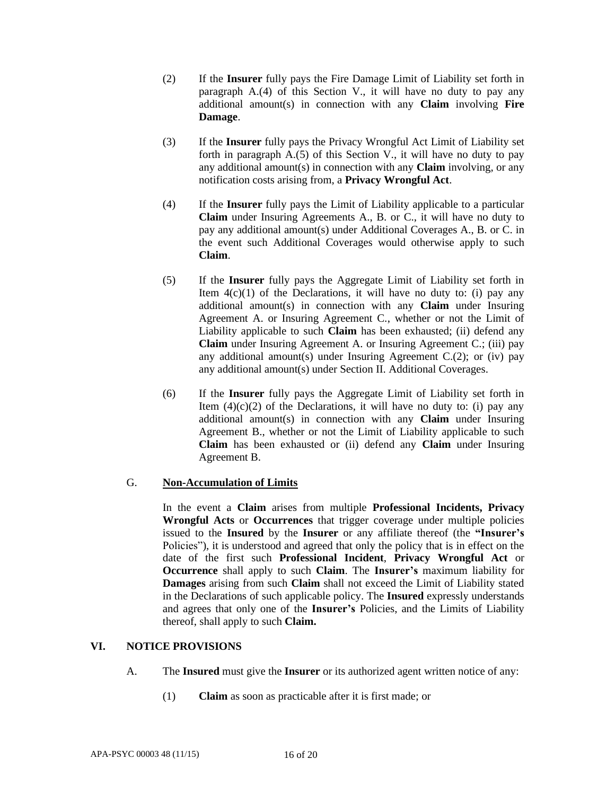- (2) If the **Insurer** fully pays the Fire Damage Limit of Liability set forth in paragraph A.(4) of this Section V., it will have no duty to pay any additional amount(s) in connection with any **Claim** involving **Fire Damage**.
- (3) If the **Insurer** fully pays the Privacy Wrongful Act Limit of Liability set forth in paragraph A.(5) of this Section V., it will have no duty to pay any additional amount(s) in connection with any **Claim** involving, or any notification costs arising from, a **Privacy Wrongful Act**.
- (4) If the **Insurer** fully pays the Limit of Liability applicable to a particular **Claim** under Insuring Agreements A., B. or C., it will have no duty to pay any additional amount(s) under Additional Coverages A., B. or C. in the event such Additional Coverages would otherwise apply to such **Claim**.
- (5) If the **Insurer** fully pays the Aggregate Limit of Liability set forth in Item  $4(c)(1)$  of the Declarations, it will have no duty to: (i) pay any additional amount(s) in connection with any **Claim** under Insuring Agreement A. or Insuring Agreement C., whether or not the Limit of Liability applicable to such **Claim** has been exhausted; (ii) defend any **Claim** under Insuring Agreement A. or Insuring Agreement C.; (iii) pay any additional amount(s) under Insuring Agreement C.(2); or (iv) pay any additional amount(s) under Section II. Additional Coverages.
- (6) If the **Insurer** fully pays the Aggregate Limit of Liability set forth in Item  $(4)(c)(2)$  of the Declarations, it will have no duty to: (i) pay any additional amount(s) in connection with any **Claim** under Insuring Agreement B., whether or not the Limit of Liability applicable to such **Claim** has been exhausted or (ii) defend any **Claim** under Insuring Agreement B.

# G. **Non-Accumulation of Limits**

In the event a **Claim** arises from multiple **Professional Incidents, Privacy Wrongful Acts** or **Occurrences** that trigger coverage under multiple policies issued to the **Insured** by the **Insurer** or any affiliate thereof (the **"Insurer's**  Policies"), it is understood and agreed that only the policy that is in effect on the date of the first such **Professional Incident**, **Privacy Wrongful Act** or **Occurrence** shall apply to such **Claim**. The **Insurer's** maximum liability for **Damages** arising from such **Claim** shall not exceed the Limit of Liability stated in the Declarations of such applicable policy. The **Insured** expressly understands and agrees that only one of the **Insurer's** Policies, and the Limits of Liability thereof, shall apply to such **Claim.**

# **VI. NOTICE PROVISIONS**

- A. The **Insured** must give the **Insurer** or its authorized agent written notice of any:
	- (1) **Claim** as soon as practicable after it is first made; or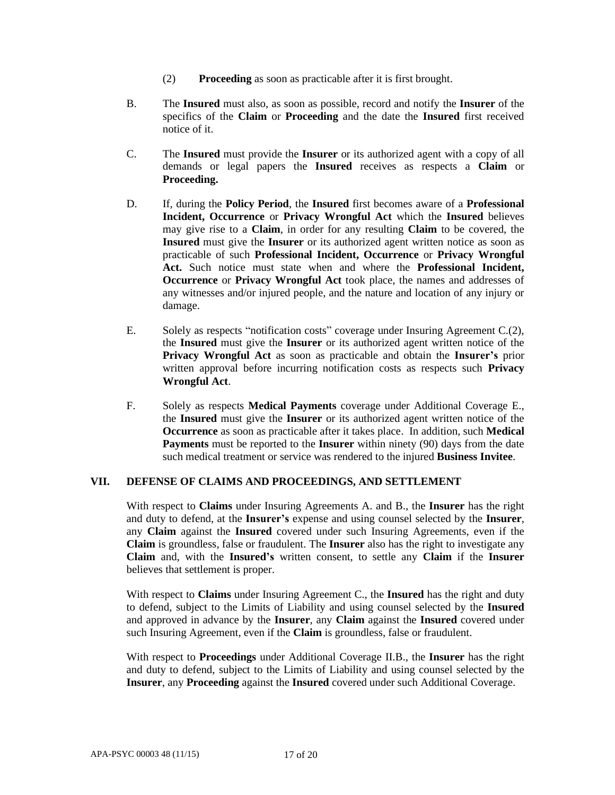- (2) **Proceeding** as soon as practicable after it is first brought.
- B. The **Insured** must also, as soon as possible, record and notify the **Insurer** of the specifics of the **Claim** or **Proceeding** and the date the **Insured** first received notice of it.
- C. The **Insured** must provide the **Insurer** or its authorized agent with a copy of all demands or legal papers the **Insured** receives as respects a **Claim** or **Proceeding.**
- D. If, during the **Policy Period**, the **Insured** first becomes aware of a **Professional Incident, Occurrence** or **Privacy Wrongful Act** which the **Insured** believes may give rise to a **Claim**, in order for any resulting **Claim** to be covered, the **Insured** must give the **Insurer** or its authorized agent written notice as soon as practicable of such **Professional Incident, Occurrence** or **Privacy Wrongful Act.** Such notice must state when and where the **Professional Incident, Occurrence** or **Privacy Wrongful Act** took place, the names and addresses of any witnesses and/or injured people, and the nature and location of any injury or damage.
- E. Solely as respects "notification costs" coverage under Insuring Agreement C.(2), the **Insured** must give the **Insurer** or its authorized agent written notice of the **Privacy Wrongful Act** as soon as practicable and obtain the **Insurer's** prior written approval before incurring notification costs as respects such **Privacy Wrongful Act**.
- F. Solely as respects **Medical Payments** coverage under Additional Coverage E., the **Insured** must give the **Insurer** or its authorized agent written notice of the **Occurrence** as soon as practicable after it takes place. In addition, such **Medical Payments** must be reported to the **Insurer** within ninety (90) days from the date such medical treatment or service was rendered to the injured **Business Invitee**.

### **VII. DEFENSE OF CLAIMS AND PROCEEDINGS, AND SETTLEMENT**

With respect to **Claims** under Insuring Agreements A. and B., the **Insurer** has the right and duty to defend, at the **Insurer's** expense and using counsel selected by the **Insurer**, any **Claim** against the **Insured** covered under such Insuring Agreements, even if the **Claim** is groundless, false or fraudulent. The **Insurer** also has the right to investigate any **Claim** and, with the **Insured's** written consent, to settle any **Claim** if the **Insurer**  believes that settlement is proper.

With respect to **Claims** under Insuring Agreement C., the **Insured** has the right and duty to defend, subject to the Limits of Liability and using counsel selected by the **Insured** and approved in advance by the **Insurer**, any **Claim** against the **Insured** covered under such Insuring Agreement, even if the **Claim** is groundless, false or fraudulent.

With respect to **Proceedings** under Additional Coverage II.B., the **Insurer** has the right and duty to defend, subject to the Limits of Liability and using counsel selected by the **Insurer**, any **Proceeding** against the **Insured** covered under such Additional Coverage.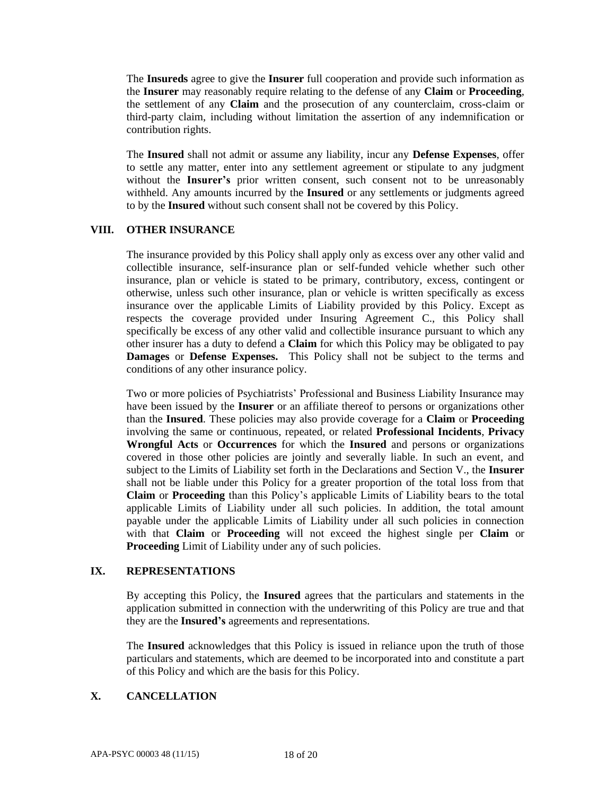The **Insureds** agree to give the **Insurer** full cooperation and provide such information as the **Insurer** may reasonably require relating to the defense of any **Claim** or **Proceeding**, the settlement of any **Claim** and the prosecution of any counterclaim, cross-claim or third-party claim, including without limitation the assertion of any indemnification or contribution rights.

The **Insured** shall not admit or assume any liability, incur any **Defense Expenses**, offer to settle any matter, enter into any settlement agreement or stipulate to any judgment without the **Insurer's** prior written consent, such consent not to be unreasonably withheld. Any amounts incurred by the **Insured** or any settlements or judgments agreed to by the **Insured** without such consent shall not be covered by this Policy.

#### **VIII. OTHER INSURANCE**

The insurance provided by this Policy shall apply only as excess over any other valid and collectible insurance, self-insurance plan or self-funded vehicle whether such other insurance, plan or vehicle is stated to be primary, contributory, excess, contingent or otherwise, unless such other insurance, plan or vehicle is written specifically as excess insurance over the applicable Limits of Liability provided by this Policy. Except as respects the coverage provided under Insuring Agreement C., this Policy shall specifically be excess of any other valid and collectible insurance pursuant to which any other insurer has a duty to defend a **Claim** for which this Policy may be obligated to pay **Damages** or **Defense Expenses.** This Policy shall not be subject to the terms and conditions of any other insurance policy.

Two or more policies of Psychiatrists' Professional and Business Liability Insurance may have been issued by the **Insurer** or an affiliate thereof to persons or organizations other than the **Insured**. These policies may also provide coverage for a **Claim** or **Proceeding** involving the same or continuous, repeated, or related **Professional Incidents**, **Privacy Wrongful Acts** or **Occurrences** for which the **Insured** and persons or organizations covered in those other policies are jointly and severally liable. In such an event, and subject to the Limits of Liability set forth in the Declarations and Section V., the **Insurer**  shall not be liable under this Policy for a greater proportion of the total loss from that **Claim** or **Proceeding** than this Policy's applicable Limits of Liability bears to the total applicable Limits of Liability under all such policies. In addition, the total amount payable under the applicable Limits of Liability under all such policies in connection with that **Claim** or **Proceeding** will not exceed the highest single per **Claim** or **Proceeding** Limit of Liability under any of such policies.

#### **IX. REPRESENTATIONS**

By accepting this Policy, the **Insured** agrees that the particulars and statements in the application submitted in connection with the underwriting of this Policy are true and that they are the **Insured's** agreements and representations.

The **Insured** acknowledges that this Policy is issued in reliance upon the truth of those particulars and statements, which are deemed to be incorporated into and constitute a part of this Policy and which are the basis for this Policy.

## **X. CANCELLATION**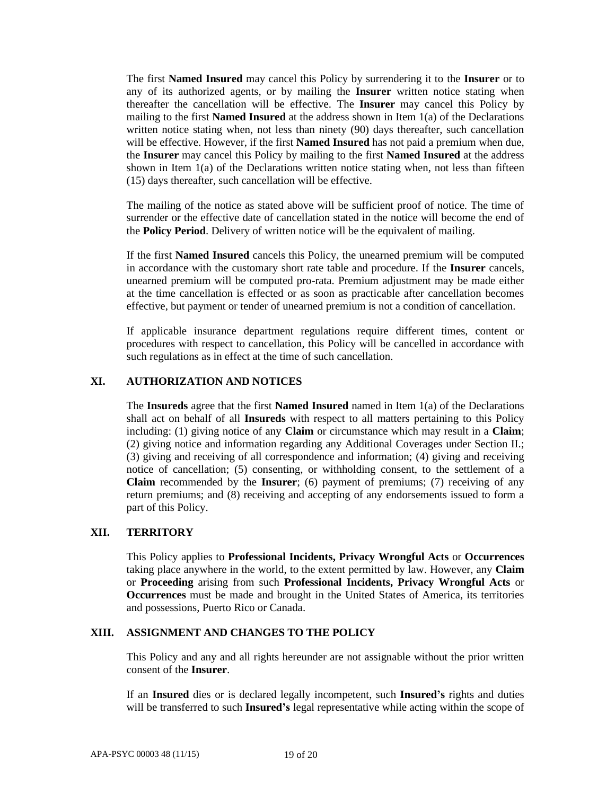The first **Named Insured** may cancel this Policy by surrendering it to the **Insurer** or to any of its authorized agents, or by mailing the **Insurer** written notice stating when thereafter the cancellation will be effective. The **Insurer** may cancel this Policy by mailing to the first **Named Insured** at the address shown in Item 1(a) of the Declarations written notice stating when, not less than ninety (90) days thereafter, such cancellation will be effective. However, if the first **Named Insured** has not paid a premium when due, the **Insurer** may cancel this Policy by mailing to the first **Named Insured** at the address shown in Item  $1(a)$  of the Declarations written notice stating when, not less than fifteen (15) days thereafter, such cancellation will be effective.

The mailing of the notice as stated above will be sufficient proof of notice. The time of surrender or the effective date of cancellation stated in the notice will become the end of the **Policy Period**. Delivery of written notice will be the equivalent of mailing.

If the first **Named Insured** cancels this Policy, the unearned premium will be computed in accordance with the customary short rate table and procedure. If the **Insurer** cancels, unearned premium will be computed pro-rata. Premium adjustment may be made either at the time cancellation is effected or as soon as practicable after cancellation becomes effective, but payment or tender of unearned premium is not a condition of cancellation.

If applicable insurance department regulations require different times, content or procedures with respect to cancellation, this Policy will be cancelled in accordance with such regulations as in effect at the time of such cancellation.

## **XI. AUTHORIZATION AND NOTICES**

The **Insureds** agree that the first **Named Insured** named in Item 1(a) of the Declarations shall act on behalf of all **Insureds** with respect to all matters pertaining to this Policy including: (1) giving notice of any **Claim** or circumstance which may result in a **Claim**; (2) giving notice and information regarding any Additional Coverages under Section II.; (3) giving and receiving of all correspondence and information; (4) giving and receiving notice of cancellation; (5) consenting, or withholding consent, to the settlement of a **Claim** recommended by the **Insurer**; (6) payment of premiums; (7) receiving of any return premiums; and (8) receiving and accepting of any endorsements issued to form a part of this Policy.

### **XII. TERRITORY**

This Policy applies to **Professional Incidents, Privacy Wrongful Acts** or **Occurrences** taking place anywhere in the world, to the extent permitted by law. However, any **Claim**  or **Proceeding** arising from such **Professional Incidents, Privacy Wrongful Acts** or **Occurrences** must be made and brought in the United States of America, its territories and possessions, Puerto Rico or Canada.

#### **XIII. ASSIGNMENT AND CHANGES TO THE POLICY**

This Policy and any and all rights hereunder are not assignable without the prior written consent of the **Insurer**.

If an **Insured** dies or is declared legally incompetent, such **Insured's** rights and duties will be transferred to such **Insured's** legal representative while acting within the scope of